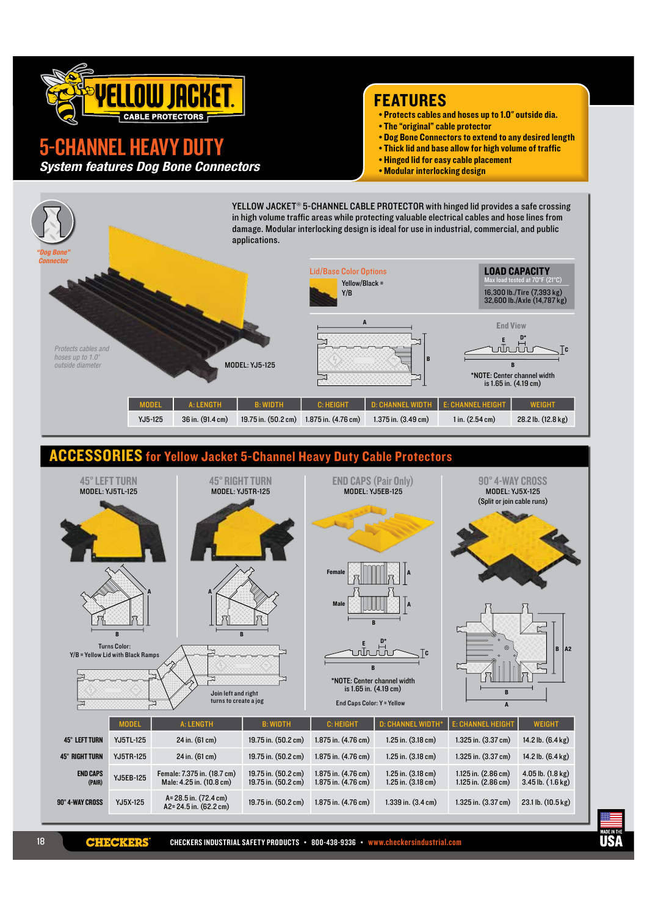

# **ANNEL HEAVY DUTY**

**System features Dog Bone Connectors** 

### **FEATURES**

- . Protects cables and hoses up to 1.0" outside dia.
- The "original" cable protector
- . Dog Bone Connectors to extend to any desired length
- . Thick lid and base allow for high volume of traffic
- Hinged lid for easy cable placement
- . Modular interlocking design



K E

CHECKERS INDUSTRIAL SAFETY PRODUCTS · 800-438-9336 · www.checkersindustrial.com

IŖ.